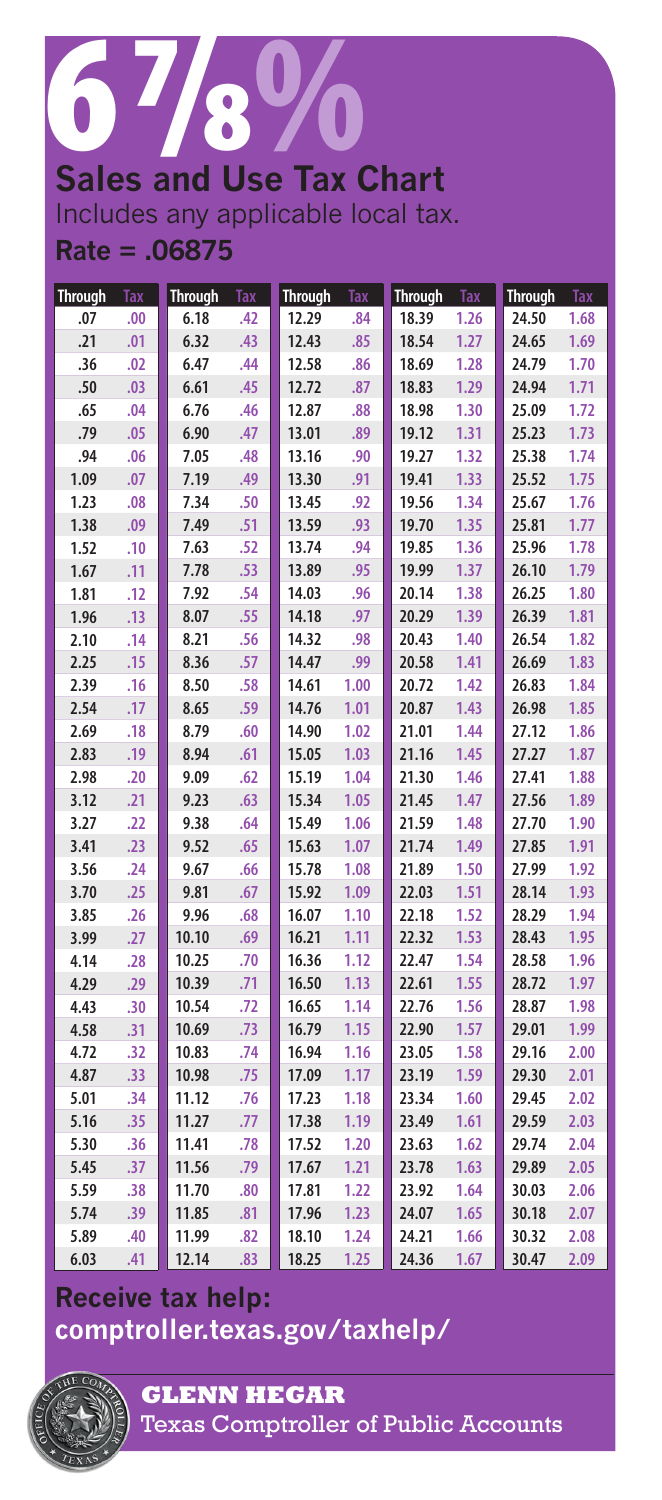## 6 7/8 %

**Sales and Use Tax Chart** Includes any applicable local tax. **Rate = .06875**

| <b>Through</b> | <b>Tax</b> | <b>Through</b> | Tax | <b>Through</b> | <b>Tax</b> | <b>Through</b> | Tax  | <b>Through</b> | <b>Tax</b> |
|----------------|------------|----------------|-----|----------------|------------|----------------|------|----------------|------------|
| .07            | .00        | 6.18           | .42 | 12.29          | .84        | 18.39          | 1.26 | 24.50          | 1.68       |
| .21            | .01        | 6.32           | .43 | 12.43          | .85        | 18.54          | 1.27 | 24.65          | 1.69       |
| .36            | .02        | 6.47           | .44 | 12.58          | .86        | 18.69          | 1.28 | 24.79          | 1.70       |
| .50            | .03        | 6.61           | .45 | 12.72          | .87        | 18.83          | 1.29 | 24.94          | 1.71       |
| .65            | .04        | 6.76           | .46 | 12.87          | .88        | 18.98          | 1.30 | 25.09          | 1.72       |
| .79            | .05        | 6.90           | .47 | 13.01          | .89        | 19.12          | 1.31 | 25.23          | 1.73       |
| .94            | .06        | 7.05           | .48 | 13.16          | .90        | 19.27          | 1.32 | 25.38          | 1.74       |
| 1.09           | .07        | 7.19           | .49 | 13.30          | .91        | 19.41          | 1.33 | 25.52          | 1.75       |
| 1.23           | .08        | 7.34           | .50 | 13.45          | .92        | 19.56          | 1.34 | 25.67          | 1.76       |
| 1.38           | .09        | 7.49           | .51 | 13.59          | .93        | 19.70          | 1.35 | 25.81          | 1.77       |
| 1.52           | .10        | 7.63           | .52 | 13.74          | .94        | 19.85          | 1.36 | 25.96          | 1.78       |
| 1.67           | .11        | 7.78           | .53 | 13.89          | .95        | 19.99          | 1.37 | 26.10          | 1.79       |
| 1.81           | .12        | 7.92           | .54 | 14.03          | .96        | 20.14          | 1.38 | 26.25          | 1.80       |
| 1.96           | .13        | 8.07           | .55 | 14.18          | .97        | 20.29          | 1.39 | 26.39          | 1.81       |
| 2.10           | .14        | 8.21           | .56 | 14.32          | .98        | 20.43          | 1.40 | 26.54          | 1.82       |
| 2.25           | .15        | 8.36           | .57 | 14.47          | .99        | 20.58          | 1.41 | 26.69          | 1.83       |
| 2.39           | .16        | 8.50           | .58 | 14.61          | 1.00       | 20.72          | 1.42 | 26.83          | 1.84       |
| 2.54           | .17        | 8.65           | .59 | 14.76          | 1.01       | 20.87          | 1.43 | 26.98          | 1.85       |
| 2.69           | .18        | 8.79           | .60 | 14.90          | 1.02       | 21.01          | 1.44 | 27.12          | 1.86       |
| 2.83           | .19        | 8.94           | .61 | 15.05          | 1.03       | 21.16          | 1.45 | 27.27          | 1.87       |
| 2.98           | .20        | 9.09           | .62 | 15.19          | 1.04       | 21.30          | 1.46 | 27.41          | 1.88       |
| 3.12           | .21        | 9.23           | .63 | 15.34          | 1.05       | 21.45          | 1.47 | 27.56          | 1.89       |
| 3.27           | .22        | 9.38           | .64 | 15.49          | 1.06       | 21.59          | 1.48 | 27.70          | 1.90       |
| 3.41           | .23        | 9.52           | .65 | 15.63          | 1.07       | 21.74          | 1.49 | 27.85          | 1.91       |
| 3.56           | .24        | 9.67           | .66 | 15.78          | 1.08       | 21.89          | 1.50 | 27.99          | 1.92       |
| 3.70           | .25        | 9.81           | .67 | 15.92          | 1.09       | 22.03          | 1.51 | 28.14          | 1.93       |
| 3.85           | .26        | 9.96           | .68 | 16.07          | 1.10       | 22.18          | 1.52 | 28.29          | 1.94       |
| 3.99           | .27        | 10.10          | .69 | 16.21          | 1.11       | 22.32          | 1.53 | 28.43          | 1.95       |
| 4.14           | .28        | 10.25          | .70 | 16.36          | 1.12       | 22.47          | 1.54 | 28.58          | 1.96       |
| 4.29           | .29        | 10.39          | .71 | 16.50          | 1.13       | 22.61          | 1.55 | 28.72          | 1.97       |
| 4.43           | .30        | 10.54          | .72 | 16.65          | 1.14       | 22.76          | 1.56 | 28.87          | 1.98       |
| 4.58           | .31        | 10.69          | .73 | 16.79          | 1.15       | 22.90          | 1.57 | 29.01          | 1.99       |
| 4.72           | .32        | 10.83          | .74 | 16.94          | 1.16       | 23.05          | 1.58 | 29.16          | 2.00       |
| 4.87           | .33        | 10.98          | .75 | 17.09          | 1.17       | 23.19          | 1.59 | 29.30          | 2.01       |
| 5.01           | .34        | 11.12          | .76 | 17.23          | 1.18       | 23.34          | 1.60 | 29.45          | 2.02       |
| 5.16           | .35        | 11.27          | .77 | 17.38          | 1.19       | 23.49          | 1.61 | 29.59          | 2.03       |
| 5.30           | .36        | 11.41          | .78 | 17.52          | 1.20       | 23.63          | 1.62 | 29.74          | 2.04       |
| 5.45           | .37        | 11.56          | .79 | 17.67          | 1.21       | 23.78          | 1.63 | 29.89          | 2.05       |
| 5.59           | .38        | 11.70          | .80 | 17.81          | 1.22       | 23.92          | 1.64 | 30.03          | 2.06       |
| 5.74           | .39        | 11.85          | .81 | 17.96          | 1.23       | 24.07          | 1.65 | 30.18          | 2.07       |
| 5.89           | .40        | 11.99          | .82 | 18.10          | 1.24       | 24.21          | 1.66 | 30.32          | 2.08       |
| 6.03           | .41        | 12.14          | .83 | 18.25          | 1.25       | 24.36          | 1.67 | 30.47          | 2.09       |

## **Receive tax help: [comptroller.texas.gov/taxhelp/](comptroller.texas.gov/taxhelp)**



**GLENN HEGAR**  Texas Comptroller of Public Accounts